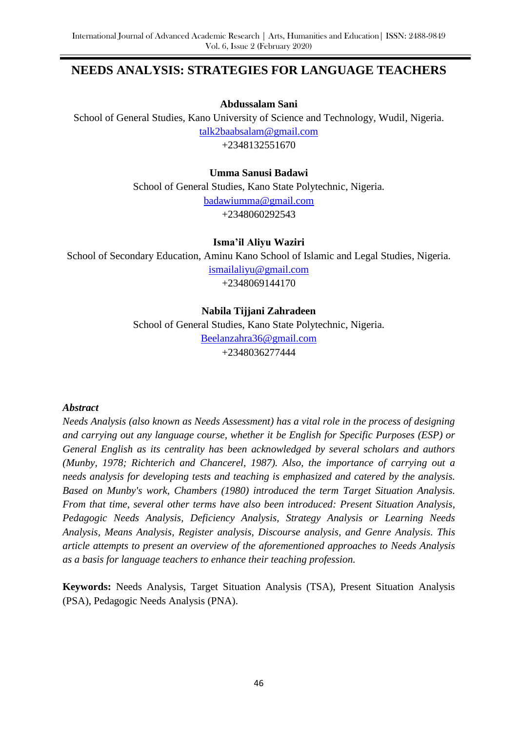# **NEEDS ANALYSIS: STRATEGIES FOR LANGUAGE TEACHERS**

**Abdussalam Sani**

School of General Studies, Kano University of Science and Technology, Wudil, Nigeria. [talk2baabsalam@gmail.com](mailto:talk2baabsalam@gmail.com) +2348132551670

**Umma Sanusi Badawi**

School of General Studies, Kano State Polytechnic, Nigeria. [badawiumma@gmail.com](mailto:badawiumma@gmail.com) +2348060292543

**Isma'il Aliyu Waziri**

School of Secondary Education, Aminu Kano School of Islamic and Legal Studies, Nigeria.

[ismailaliyu@gmail.com](mailto:ismailaliyu@gmail.com)

+2348069144170

## **Nabila Tijjani Zahradeen**

School of General Studies, Kano State Polytechnic, Nigeria. [Beelanzahra36@gmail.com](mailto:Beelanzahra36@gmail.com) +2348036277444

#### *Abstract*

*Needs Analysis (also known as Needs Assessment) has a vital role in the process of designing and carrying out any language course, whether it be English for Specific Purposes (ESP) or General English as its centrality has been acknowledged by several scholars and authors (Munby, 1978; Richterich and Chancerel, 1987). Also, the importance of carrying out a needs analysis for developing tests and teaching is emphasized and catered by the analysis. Based on Munby's work, Chambers (1980) introduced the term Target Situation Analysis. From that time, several other terms have also been introduced: Present Situation Analysis, Pedagogic Needs Analysis, Deficiency Analysis, Strategy Analysis or Learning Needs Analysis, Means Analysis, Register analysis, Discourse analysis, and Genre Analysis. This article attempts to present an overview of the aforementioned approaches to Needs Analysis as a basis for language teachers to enhance their teaching profession.*

**Keywords:** Needs Analysis, Target Situation Analysis (TSA), Present Situation Analysis (PSA), Pedagogic Needs Analysis (PNA).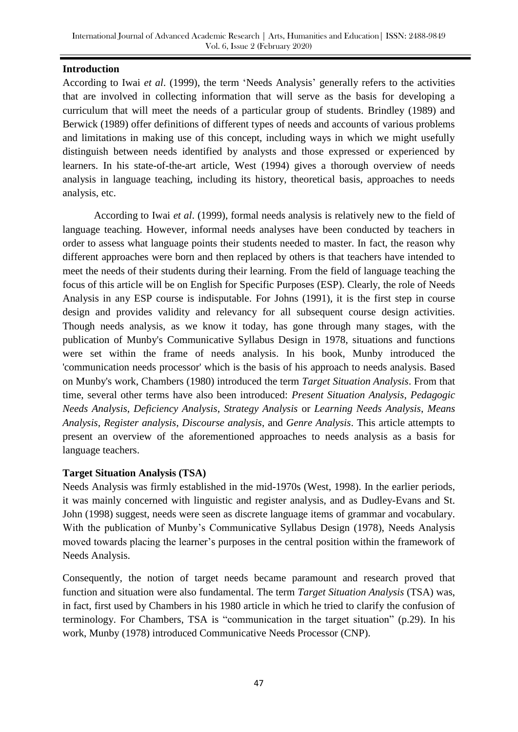## **Introduction**

According to Iwai *et al*. (1999), the term "Needs Analysis" generally refers to the activities that are involved in collecting information that will serve as the basis for developing a curriculum that will meet the needs of a particular group of students. Brindley (1989) and Berwick (1989) offer definitions of different types of needs and accounts of various problems and limitations in making use of this concept, including ways in which we might usefully distinguish between needs identified by analysts and those expressed or experienced by learners. In his state-of-the-art article, West (1994) gives a thorough overview of needs analysis in language teaching, including its history, theoretical basis, approaches to needs analysis, etc.

According to Iwai *et al*. (1999), formal needs analysis is relatively new to the field of language teaching. However, informal needs analyses have been conducted by teachers in order to assess what language points their students needed to master. In fact, the reason why different approaches were born and then replaced by others is that teachers have intended to meet the needs of their students during their learning. From the field of language teaching the focus of this article will be on English for Specific Purposes (ESP). Clearly, the role of Needs Analysis in any ESP course is indisputable. For Johns (1991), it is the first step in course design and provides validity and relevancy for all subsequent course design activities. Though needs analysis, as we know it today, has gone through many stages, with the publication of Munby's Communicative Syllabus Design in 1978, situations and functions were set within the frame of needs analysis. In his book, Munby introduced the 'communication needs processor' which is the basis of his approach to needs analysis. Based on Munby's work, Chambers (1980) introduced the term *Target Situation Analysis*. From that time, several other terms have also been introduced: *Present Situation Analysis*, *Pedagogic Needs Analysis*, *Deficiency Analysis*, *Strategy Analysis* or *Learning Needs Analysis*, *Means Analysis*, *Register analysis*, *Discourse analysis*, and *Genre Analysis*. This article attempts to present an overview of the aforementioned approaches to needs analysis as a basis for language teachers.

## **Target Situation Analysis (TSA)**

Needs Analysis was firmly established in the mid-1970s (West, 1998). In the earlier periods, it was mainly concerned with linguistic and register analysis, and as Dudley-Evans and St. John (1998) suggest, needs were seen as discrete language items of grammar and vocabulary. With the publication of Munby"s Communicative Syllabus Design (1978), Needs Analysis moved towards placing the learner's purposes in the central position within the framework of Needs Analysis.

Consequently, the notion of target needs became paramount and research proved that function and situation were also fundamental. The term *Target Situation Analysis* (TSA) was, in fact, first used by Chambers in his 1980 article in which he tried to clarify the confusion of terminology. For Chambers, TSA is "communication in the target situation" (p.29). In his work, Munby (1978) introduced Communicative Needs Processor (CNP).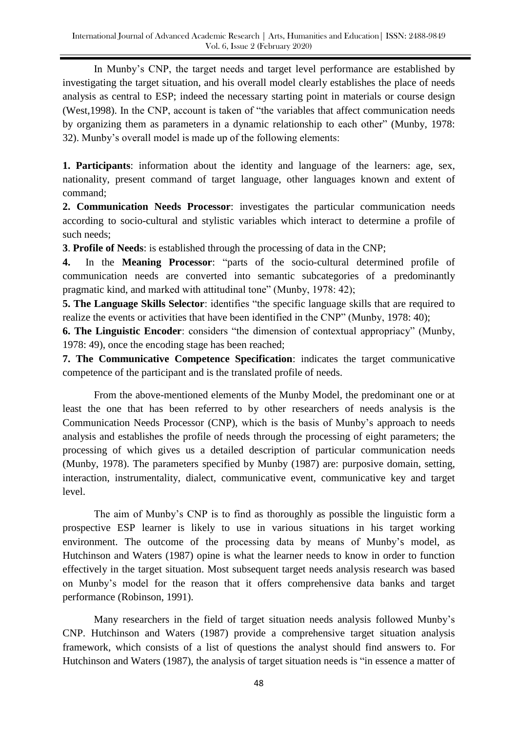In Munby"s CNP, the target needs and target level performance are established by investigating the target situation, and his overall model clearly establishes the place of needs analysis as central to ESP; indeed the necessary starting point in materials or course design (West,1998). In the CNP, account is taken of "the variables that affect communication needs by organizing them as parameters in a dynamic relationship to each other" (Munby, 1978: 32). Munby"s overall model is made up of the following elements:

**1. Participants**: information about the identity and language of the learners: age, sex, nationality, present command of target language, other languages known and extent of command;

**2. Communication Needs Processor**: investigates the particular communication needs according to socio-cultural and stylistic variables which interact to determine a profile of such needs;

**3**. **Profile of Needs**: is established through the processing of data in the CNP;

**4.** In the **Meaning Processor**: "parts of the socio-cultural determined profile of communication needs are converted into semantic subcategories of a predominantly pragmatic kind, and marked with attitudinal tone" (Munby, 1978: 42);

**5. The Language Skills Selector**: identifies "the specific language skills that are required to realize the events or activities that have been identified in the CNP" (Munby, 1978: 40);

**6. The Linguistic Encoder**: considers "the dimension of contextual appropriacy" (Munby, 1978: 49), once the encoding stage has been reached;

**7. The Communicative Competence Specification**: indicates the target communicative competence of the participant and is the translated profile of needs.

From the above-mentioned elements of the Munby Model, the predominant one or at least the one that has been referred to by other researchers of needs analysis is the Communication Needs Processor (CNP), which is the basis of Munby"s approach to needs analysis and establishes the profile of needs through the processing of eight parameters; the processing of which gives us a detailed description of particular communication needs (Munby, 1978). The parameters specified by Munby (1987) are: purposive domain, setting, interaction, instrumentality, dialect, communicative event, communicative key and target level.

The aim of Munby"s CNP is to find as thoroughly as possible the linguistic form a prospective ESP learner is likely to use in various situations in his target working environment. The outcome of the processing data by means of Munby's model, as Hutchinson and Waters (1987) opine is what the learner needs to know in order to function effectively in the target situation. Most subsequent target needs analysis research was based on Munby"s model for the reason that it offers comprehensive data banks and target performance (Robinson, 1991).

Many researchers in the field of target situation needs analysis followed Munby"s CNP. Hutchinson and Waters (1987) provide a comprehensive target situation analysis framework, which consists of a list of questions the analyst should find answers to. For Hutchinson and Waters (1987), the analysis of target situation needs is "in essence a matter of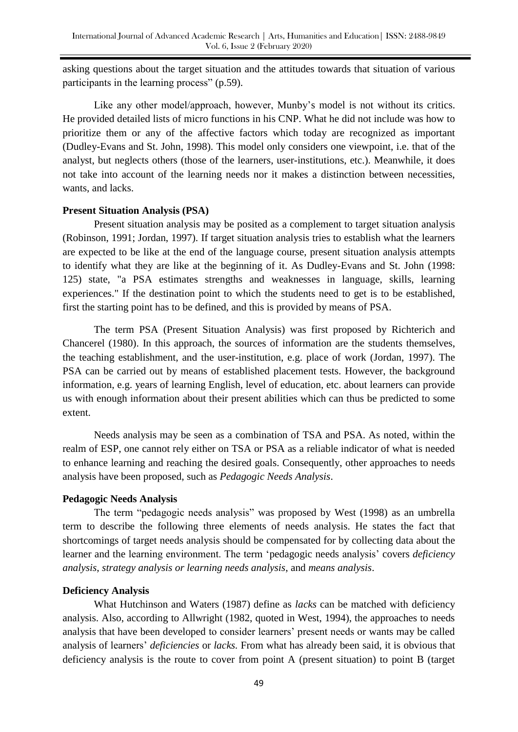asking questions about the target situation and the attitudes towards that situation of various participants in the learning process" (p.59).

Like any other model/approach, however, Munby's model is not without its critics. He provided detailed lists of micro functions in his CNP. What he did not include was how to prioritize them or any of the affective factors which today are recognized as important (Dudley-Evans and St. John, 1998). This model only considers one viewpoint, i.e. that of the analyst, but neglects others (those of the learners, user-institutions, etc.). Meanwhile, it does not take into account of the learning needs nor it makes a distinction between necessities, wants, and lacks.

## **Present Situation Analysis (PSA)**

Present situation analysis may be posited as a complement to target situation analysis (Robinson, 1991; Jordan, 1997). If target situation analysis tries to establish what the learners are expected to be like at the end of the language course, present situation analysis attempts to identify what they are like at the beginning of it. As Dudley-Evans and St. John (1998: 125) state, "a PSA estimates strengths and weaknesses in language, skills, learning experiences." If the destination point to which the students need to get is to be established, first the starting point has to be defined, and this is provided by means of PSA.

The term PSA (Present Situation Analysis) was first proposed by Richterich and Chancerel (1980). In this approach, the sources of information are the students themselves, the teaching establishment, and the user-institution, e.g. place of work (Jordan, 1997). The PSA can be carried out by means of established placement tests. However, the background information, e.g. years of learning English, level of education, etc. about learners can provide us with enough information about their present abilities which can thus be predicted to some extent.

Needs analysis may be seen as a combination of TSA and PSA. As noted, within the realm of ESP, one cannot rely either on TSA or PSA as a reliable indicator of what is needed to enhance learning and reaching the desired goals. Consequently, other approaches to needs analysis have been proposed, such as *Pedagogic Needs Analysis*.

## **Pedagogic Needs Analysis**

The term "pedagogic needs analysis" was proposed by West (1998) as an umbrella term to describe the following three elements of needs analysis. He states the fact that shortcomings of target needs analysis should be compensated for by collecting data about the learner and the learning environment. The term 'pedagogic needs analysis' covers *deficiency analysis*, *strategy analysis or learning needs analysis*, and *means analysis*.

#### **Deficiency Analysis**

What Hutchinson and Waters (1987) define as *lacks* can be matched with deficiency analysis. Also, according to Allwright (1982, quoted in West, 1994), the approaches to needs analysis that have been developed to consider learners" present needs or wants may be called analysis of learners" *deficiencies* or *lacks.* From what has already been said, it is obvious that deficiency analysis is the route to cover from point A (present situation) to point B (target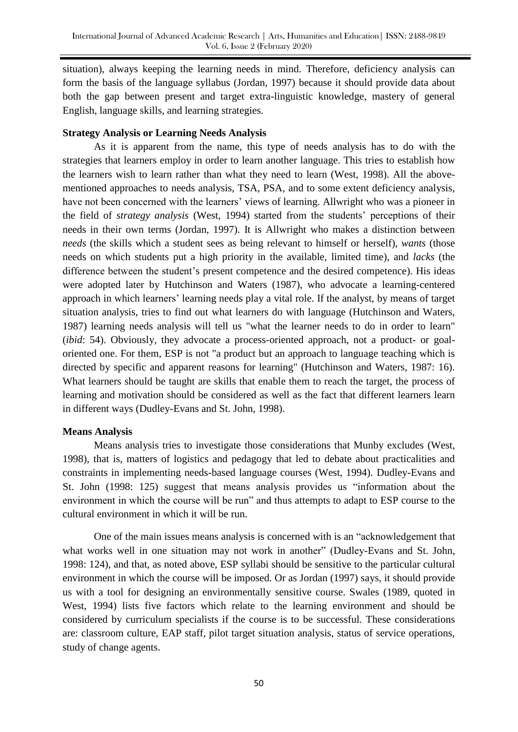situation), always keeping the learning needs in mind. Therefore, deficiency analysis can form the basis of the language syllabus (Jordan, 1997) because it should provide data about both the gap between present and target extra-linguistic knowledge, mastery of general English, language skills, and learning strategies.

## **Strategy Analysis or Learning Needs Analysis**

As it is apparent from the name, this type of needs analysis has to do with the strategies that learners employ in order to learn another language. This tries to establish how the learners wish to learn rather than what they need to learn (West, 1998). All the abovementioned approaches to needs analysis, TSA, PSA, and to some extent deficiency analysis, have not been concerned with the learners' views of learning. Allwright who was a pioneer in the field of *strategy analysis* (West, 1994) started from the students" perceptions of their needs in their own terms (Jordan, 1997). It is Allwright who makes a distinction between *needs* (the skills which a student sees as being relevant to himself or herself), *wants* (those needs on which students put a high priority in the available, limited time), and *lacks* (the difference between the student's present competence and the desired competence). His ideas were adopted later by Hutchinson and Waters (1987), who advocate a learning-centered approach in which learners" learning needs play a vital role. If the analyst, by means of target situation analysis, tries to find out what learners do with language (Hutchinson and Waters, 1987) learning needs analysis will tell us "what the learner needs to do in order to learn" (*ibid*: 54). Obviously, they advocate a process-oriented approach, not a product- or goaloriented one. For them, ESP is not "a product but an approach to language teaching which is directed by specific and apparent reasons for learning" (Hutchinson and Waters, 1987: 16). What learners should be taught are skills that enable them to reach the target, the process of learning and motivation should be considered as well as the fact that different learners learn in different ways (Dudley-Evans and St. John, 1998).

#### **Means Analysis**

Means analysis tries to investigate those considerations that Munby excludes (West, 1998), that is, matters of logistics and pedagogy that led to debate about practicalities and constraints in implementing needs-based language courses (West, 1994). Dudley-Evans and St. John (1998: 125) suggest that means analysis provides us "information about the environment in which the course will be run" and thus attempts to adapt to ESP course to the cultural environment in which it will be run.

One of the main issues means analysis is concerned with is an "acknowledgement that what works well in one situation may not work in another" (Dudley-Evans and St. John, 1998: 124), and that, as noted above, ESP syllabi should be sensitive to the particular cultural environment in which the course will be imposed. Or as Jordan (1997) says, it should provide us with a tool for designing an environmentally sensitive course. Swales (1989, quoted in West, 1994) lists five factors which relate to the learning environment and should be considered by curriculum specialists if the course is to be successful. These considerations are: classroom culture, EAP staff, pilot target situation analysis, status of service operations, study of change agents.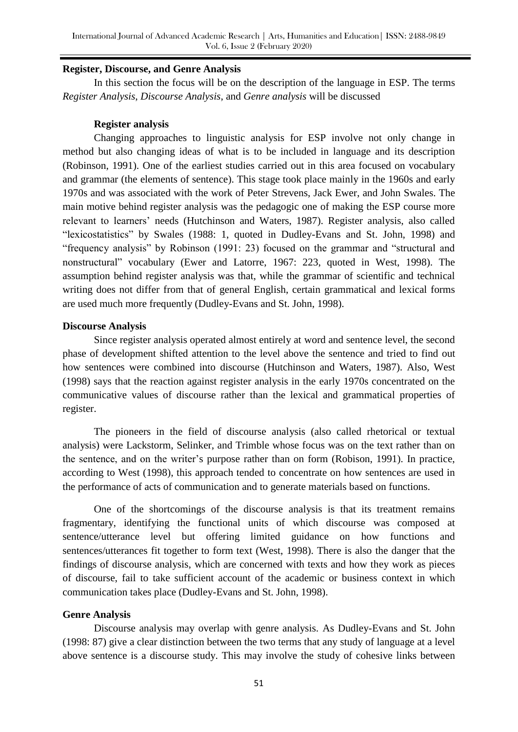#### **Register, Discourse, and Genre Analysis**

In this section the focus will be on the description of the language in ESP. The terms *Register Analysis*, *Discourse Analysis*, and *Genre analysis* will be discussed

#### **Register analysis**

Changing approaches to linguistic analysis for ESP involve not only change in method but also changing ideas of what is to be included in language and its description (Robinson, 1991). One of the earliest studies carried out in this area focused on vocabulary and grammar (the elements of sentence). This stage took place mainly in the 1960s and early 1970s and was associated with the work of Peter Strevens, Jack Ewer, and John Swales. The main motive behind register analysis was the pedagogic one of making the ESP course more relevant to learners" needs (Hutchinson and Waters, 1987). Register analysis, also called "lexicostatistics" by Swales (1988: 1, quoted in Dudley-Evans and St. John, 1998) and "frequency analysis" by Robinson (1991: 23) focused on the grammar and "structural and nonstructural" vocabulary (Ewer and Latorre, 1967: 223, quoted in West, 1998). The assumption behind register analysis was that, while the grammar of scientific and technical writing does not differ from that of general English, certain grammatical and lexical forms are used much more frequently (Dudley-Evans and St. John, 1998).

## **Discourse Analysis**

Since register analysis operated almost entirely at word and sentence level, the second phase of development shifted attention to the level above the sentence and tried to find out how sentences were combined into discourse (Hutchinson and Waters, 1987). Also, West (1998) says that the reaction against register analysis in the early 1970s concentrated on the communicative values of discourse rather than the lexical and grammatical properties of register.

The pioneers in the field of discourse analysis (also called rhetorical or textual analysis) were Lackstorm, Selinker, and Trimble whose focus was on the text rather than on the sentence, and on the writer"s purpose rather than on form (Robison, 1991). In practice, according to West (1998), this approach tended to concentrate on how sentences are used in the performance of acts of communication and to generate materials based on functions.

One of the shortcomings of the discourse analysis is that its treatment remains fragmentary, identifying the functional units of which discourse was composed at sentence/utterance level but offering limited guidance on how functions and sentences/utterances fit together to form text (West, 1998). There is also the danger that the findings of discourse analysis, which are concerned with texts and how they work as pieces of discourse, fail to take sufficient account of the academic or business context in which communication takes place (Dudley-Evans and St. John, 1998).

## **Genre Analysis**

Discourse analysis may overlap with genre analysis. As Dudley-Evans and St. John (1998: 87) give a clear distinction between the two terms that any study of language at a level above sentence is a discourse study. This may involve the study of cohesive links between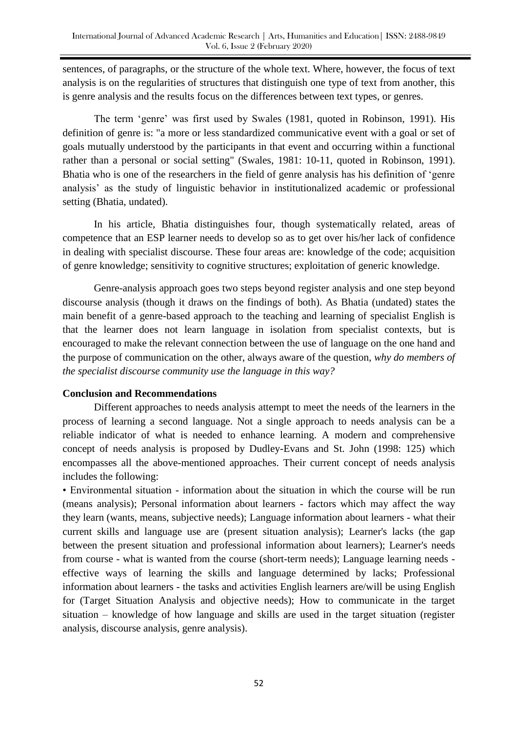sentences, of paragraphs, or the structure of the whole text. Where, however, the focus of text analysis is on the regularities of structures that distinguish one type of text from another, this is genre analysis and the results focus on the differences between text types, or genres.

The term "genre" was first used by Swales (1981, quoted in Robinson, 1991). His definition of genre is: "a more or less standardized communicative event with a goal or set of goals mutually understood by the participants in that event and occurring within a functional rather than a personal or social setting" (Swales, 1981: 10-11, quoted in Robinson, 1991). Bhatia who is one of the researchers in the field of genre analysis has his definition of "genre analysis" as the study of linguistic behavior in institutionalized academic or professional setting (Bhatia, undated).

In his article, Bhatia distinguishes four, though systematically related, areas of competence that an ESP learner needs to develop so as to get over his/her lack of confidence in dealing with specialist discourse. These four areas are: knowledge of the code; acquisition of genre knowledge; sensitivity to cognitive structures; exploitation of generic knowledge.

Genre-analysis approach goes two steps beyond register analysis and one step beyond discourse analysis (though it draws on the findings of both). As Bhatia (undated) states the main benefit of a genre-based approach to the teaching and learning of specialist English is that the learner does not learn language in isolation from specialist contexts, but is encouraged to make the relevant connection between the use of language on the one hand and the purpose of communication on the other, always aware of the question, *why do members of the specialist discourse community use the language in this way?*

## **Conclusion and Recommendations**

Different approaches to needs analysis attempt to meet the needs of the learners in the process of learning a second language. Not a single approach to needs analysis can be a reliable indicator of what is needed to enhance learning. A modern and comprehensive concept of needs analysis is proposed by Dudley-Evans and St. John (1998: 125) which encompasses all the above-mentioned approaches. Their current concept of needs analysis includes the following:

• Environmental situation - information about the situation in which the course will be run (means analysis); Personal information about learners - factors which may affect the way they learn (wants, means, subjective needs); Language information about learners - what their current skills and language use are (present situation analysis); Learner's lacks (the gap between the present situation and professional information about learners); Learner's needs from course - what is wanted from the course (short-term needs); Language learning needs effective ways of learning the skills and language determined by lacks; Professional information about learners - the tasks and activities English learners are/will be using English for (Target Situation Analysis and objective needs); How to communicate in the target situation – knowledge of how language and skills are used in the target situation (register analysis, discourse analysis, genre analysis).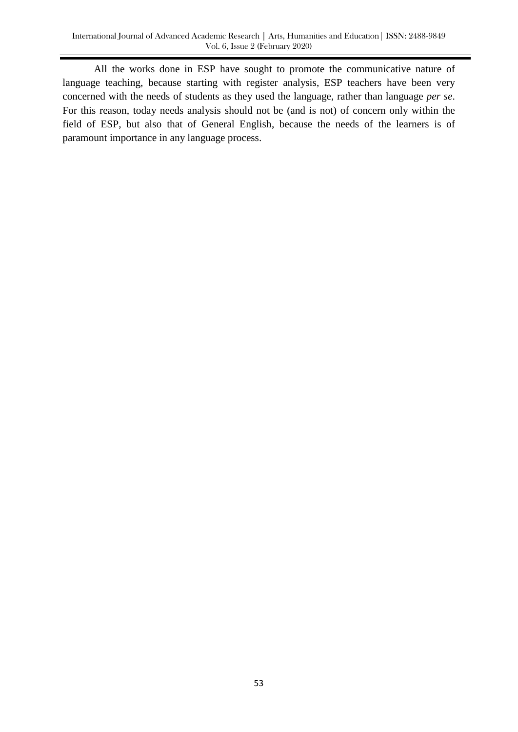All the works done in ESP have sought to promote the communicative nature of language teaching, because starting with register analysis, ESP teachers have been very concerned with the needs of students as they used the language, rather than language *per se*. For this reason, today needs analysis should not be (and is not) of concern only within the field of ESP, but also that of General English, because the needs of the learners is of paramount importance in any language process.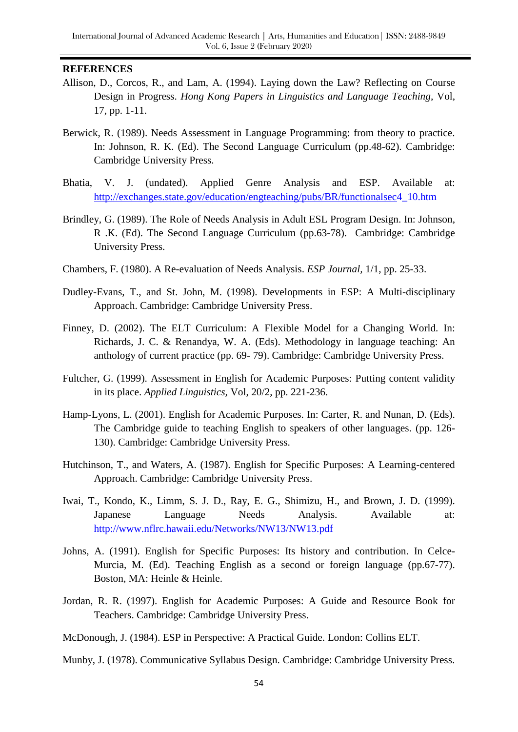#### **REFERENCES**

- Allison, D., Corcos, R., and Lam, A. (1994). Laying down the Law? Reflecting on Course Design in Progress. *Hong Kong Papers in Linguistics and Language Teaching,* Vol, 17, pp. 1-11.
- Berwick, R. (1989). Needs Assessment in Language Programming: from theory to practice. In: Johnson, R. K. (Ed). The Second Language Curriculum (pp.48-62). Cambridge: Cambridge University Press.
- Bhatia, V. J. (undated). Applied Genre Analysis and ESP. Available at: [http://exchanges.state.gov/education/engteaching/pubs/BR/functionalsec4](http://exchanges.state.gov/education/engteaching/pubs/BR/functionalsec)\_10.htm
- Brindley, G. (1989). The Role of Needs Analysis in Adult ESL Program Design. In: Johnson, R .K. (Ed). The Second Language Curriculum (pp.63-78). Cambridge: Cambridge University Press.
- Chambers, F. (1980). A Re-evaluation of Needs Analysis. *ESP Journal,* 1/1, pp. 25-33.
- Dudley-Evans, T., and St. John, M. (1998). Developments in ESP: A Multi-disciplinary Approach. Cambridge: Cambridge University Press.
- Finney, D. (2002). The ELT Curriculum: A Flexible Model for a Changing World. In: Richards, J. C. & Renandya, W. A. (Eds). Methodology in language teaching: An anthology of current practice (pp. 69- 79). Cambridge: Cambridge University Press.
- Fultcher, G. (1999). Assessment in English for Academic Purposes: Putting content validity in its place. *Applied Linguistics,* Vol, 20/2, pp. 221-236.
- Hamp-Lyons, L. (2001). English for Academic Purposes. In: Carter, R. and Nunan, D. (Eds). The Cambridge guide to teaching English to speakers of other languages. (pp. 126- 130). Cambridge: Cambridge University Press.
- Hutchinson, T., and Waters, A. (1987). English for Specific Purposes: A Learning-centered Approach. Cambridge: Cambridge University Press.
- Iwai, T., Kondo, K., Limm, S. J. D., Ray, E. G., Shimizu, H., and Brown, J. D. (1999). Japanese Language Needs Analysis. Available at: http://www.nflrc.hawaii.edu/Networks/NW13/NW13.pdf
- Johns, A. (1991). English for Specific Purposes: Its history and contribution. In Celce-Murcia, M. (Ed). Teaching English as a second or foreign language (pp.67-77). Boston, MA: Heinle & Heinle.
- Jordan, R. R. (1997). English for Academic Purposes: A Guide and Resource Book for Teachers. Cambridge: Cambridge University Press.

McDonough, J. (1984). ESP in Perspective: A Practical Guide. London: Collins ELT.

Munby, J. (1978). Communicative Syllabus Design*.* Cambridge: Cambridge University Press.